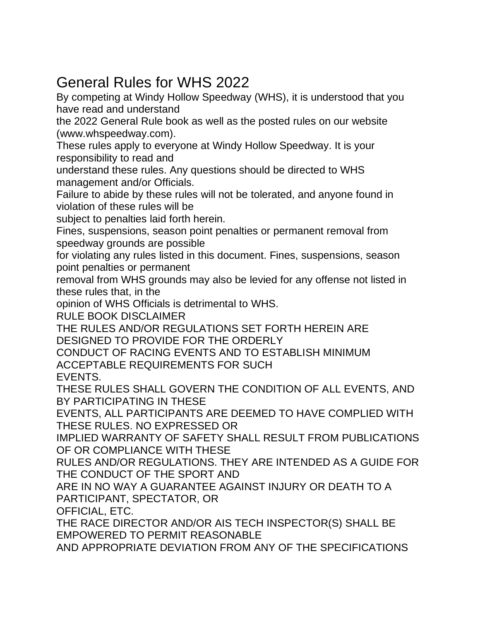# General Rules for WHS 2022

By competing at Windy Hollow Speedway (WHS), it is understood that you have read and understand

the 2022 General Rule book as well as the posted rules on our website (www.whspeedway.com).

These rules apply to everyone at Windy Hollow Speedway. It is your responsibility to read and

understand these rules. Any questions should be directed to WHS management and/or Officials.

Failure to abide by these rules will not be tolerated, and anyone found in violation of these rules will be

subject to penalties laid forth herein.

Fines, suspensions, season point penalties or permanent removal from speedway grounds are possible

for violating any rules listed in this document. Fines, suspensions, season point penalties or permanent

removal from WHS grounds may also be levied for any offense not listed in these rules that, in the

opinion of WHS Officials is detrimental to WHS.

RULE BOOK DISCLAIMER

THE RULES AND/OR REGULATIONS SET FORTH HEREIN ARE DESIGNED TO PROVIDE FOR THE ORDERLY

CONDUCT OF RACING EVENTS AND TO ESTABLISH MINIMUM ACCEPTABLE REQUIREMENTS FOR SUCH

EVENTS.

THESE RULES SHALL GOVERN THE CONDITION OF ALL EVENTS, AND BY PARTICIPATING IN THESE

EVENTS, ALL PARTICIPANTS ARE DEEMED TO HAVE COMPLIED WITH THESE RULES. NO EXPRESSED OR

IMPLIED WARRANTY OF SAFETY SHALL RESULT FROM PUBLICATIONS OF OR COMPLIANCE WITH THESE

RULES AND/OR REGULATIONS. THEY ARE INTENDED AS A GUIDE FOR THE CONDUCT OF THE SPORT AND

ARE IN NO WAY A GUARANTEE AGAINST INJURY OR DEATH TO A PARTICIPANT, SPECTATOR, OR

OFFICIAL, ETC.

THE RACE DIRECTOR AND/OR AIS TECH INSPECTOR(S) SHALL BE EMPOWERED TO PERMIT REASONABLE

AND APPROPRIATE DEVIATION FROM ANY OF THE SPECIFICATIONS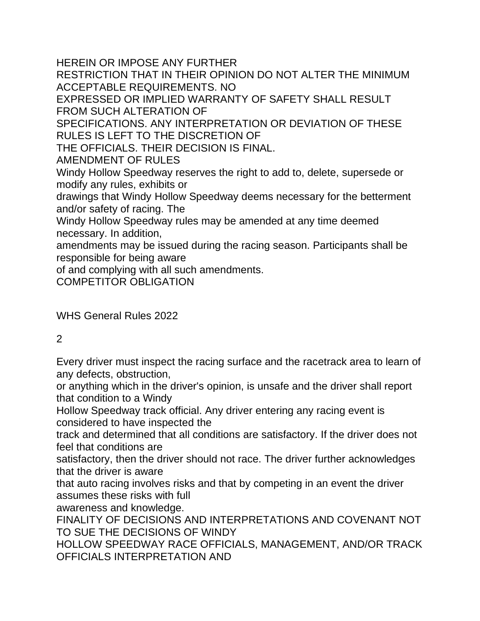HEREIN OR IMPOSE ANY FURTHER

RESTRICTION THAT IN THEIR OPINION DO NOT ALTER THE MINIMUM ACCEPTABLE REQUIREMENTS. NO

EXPRESSED OR IMPLIED WARRANTY OF SAFETY SHALL RESULT FROM SUCH ALTERATION OF

SPECIFICATIONS. ANY INTERPRETATION OR DEVIATION OF THESE RULES IS LEFT TO THE DISCRETION OF

THE OFFICIALS. THEIR DECISION IS FINAL.

AMENDMENT OF RULES

Windy Hollow Speedway reserves the right to add to, delete, supersede or modify any rules, exhibits or

drawings that Windy Hollow Speedway deems necessary for the betterment and/or safety of racing. The

Windy Hollow Speedway rules may be amended at any time deemed necessary. In addition,

amendments may be issued during the racing season. Participants shall be responsible for being aware

of and complying with all such amendments.

COMPETITOR OBLIGATION

WHS General Rules 2022

#### 2

Every driver must inspect the racing surface and the racetrack area to learn of any defects, obstruction,

or anything which in the driver's opinion, is unsafe and the driver shall report that condition to a Windy

Hollow Speedway track official. Any driver entering any racing event is considered to have inspected the

track and determined that all conditions are satisfactory. If the driver does not feel that conditions are

satisfactory, then the driver should not race. The driver further acknowledges that the driver is aware

that auto racing involves risks and that by competing in an event the driver assumes these risks with full

awareness and knowledge.

FINALITY OF DECISIONS AND INTERPRETATIONS AND COVENANT NOT TO SUE THE DECISIONS OF WINDY

HOLLOW SPEEDWAY RACE OFFICIALS, MANAGEMENT, AND/OR TRACK OFFICIALS INTERPRETATION AND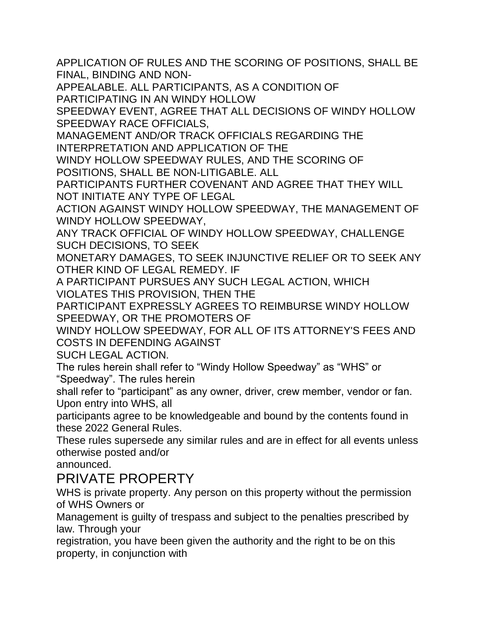APPLICATION OF RULES AND THE SCORING OF POSITIONS, SHALL BE FINAL, BINDING AND NON-

APPEALABLE. ALL PARTICIPANTS, AS A CONDITION OF PARTICIPATING IN AN WINDY HOLLOW

SPEEDWAY EVENT, AGREE THAT ALL DECISIONS OF WINDY HOLLOW SPEEDWAY RACE OFFICIALS,

MANAGEMENT AND/OR TRACK OFFICIALS REGARDING THE INTERPRETATION AND APPLICATION OF THE

WINDY HOLLOW SPEEDWAY RULES, AND THE SCORING OF POSITIONS, SHALL BE NON-LITIGABLE. ALL

PARTICIPANTS FURTHER COVENANT AND AGREE THAT THEY WILL NOT INITIATE ANY TYPE OF LEGAL

ACTION AGAINST WINDY HOLLOW SPEEDWAY, THE MANAGEMENT OF WINDY HOLLOW SPEEDWAY,

ANY TRACK OFFICIAL OF WINDY HOLLOW SPEEDWAY, CHALLENGE SUCH DECISIONS, TO SEEK

MONETARY DAMAGES, TO SEEK INJUNCTIVE RELIEF OR TO SEEK ANY OTHER KIND OF LEGAL REMEDY. IF

A PARTICIPANT PURSUES ANY SUCH LEGAL ACTION, WHICH VIOLATES THIS PROVISION, THEN THE

PARTICIPANT EXPRESSLY AGREES TO REIMBURSE WINDY HOLLOW SPEEDWAY, OR THE PROMOTERS OF

WINDY HOLLOW SPEEDWAY, FOR ALL OF ITS ATTORNEY'S FEES AND COSTS IN DEFENDING AGAINST

SUCH LEGAL ACTION.

The rules herein shall refer to "Windy Hollow Speedway" as "WHS" or "Speedway". The rules herein

shall refer to "participant" as any owner, driver, crew member, vendor or fan. Upon entry into WHS, all

participants agree to be knowledgeable and bound by the contents found in these 2022 General Rules.

These rules supersede any similar rules and are in effect for all events unless otherwise posted and/or

announced.

### PRIVATE PROPERTY

WHS is private property. Any person on this property without the permission of WHS Owners or

Management is guilty of trespass and subject to the penalties prescribed by law. Through your

registration, you have been given the authority and the right to be on this property, in conjunction with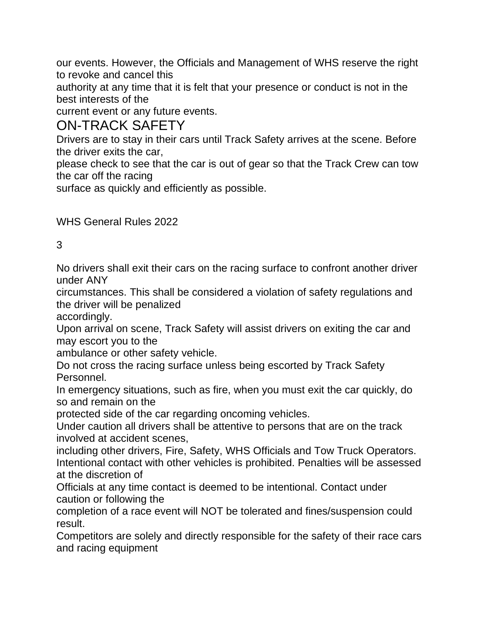our events. However, the Officials and Management of WHS reserve the right to revoke and cancel this

authority at any time that it is felt that your presence or conduct is not in the best interests of the

current event or any future events.

### ON-TRACK SAFETY

Drivers are to stay in their cars until Track Safety arrives at the scene. Before the driver exits the car,

please check to see that the car is out of gear so that the Track Crew can tow the car off the racing

surface as quickly and efficiently as possible.

WHS General Rules 2022

#### 3

No drivers shall exit their cars on the racing surface to confront another driver under ANY

circumstances. This shall be considered a violation of safety regulations and the driver will be penalized

accordingly.

Upon arrival on scene, Track Safety will assist drivers on exiting the car and may escort you to the

ambulance or other safety vehicle.

Do not cross the racing surface unless being escorted by Track Safety Personnel.

In emergency situations, such as fire, when you must exit the car quickly, do so and remain on the

protected side of the car regarding oncoming vehicles.

Under caution all drivers shall be attentive to persons that are on the track involved at accident scenes,

including other drivers, Fire, Safety, WHS Officials and Tow Truck Operators. Intentional contact with other vehicles is prohibited. Penalties will be assessed at the discretion of

Officials at any time contact is deemed to be intentional. Contact under caution or following the

completion of a race event will NOT be tolerated and fines/suspension could result.

Competitors are solely and directly responsible for the safety of their race cars and racing equipment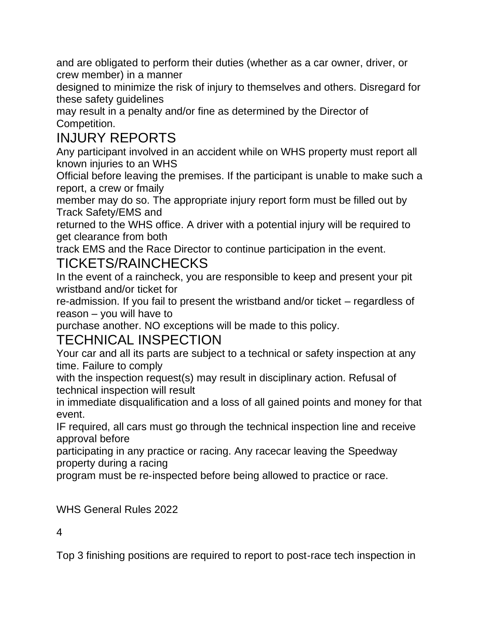and are obligated to perform their duties (whether as a car owner, driver, or crew member) in a manner

designed to minimize the risk of injury to themselves and others. Disregard for these safety guidelines

may result in a penalty and/or fine as determined by the Director of Competition.

# INJURY REPORTS

Any participant involved in an accident while on WHS property must report all known injuries to an WHS

Official before leaving the premises. If the participant is unable to make such a report, a crew or fmaily

member may do so. The appropriate injury report form must be filled out by Track Safety/EMS and

returned to the WHS office. A driver with a potential injury will be required to get clearance from both

track EMS and the Race Director to continue participation in the event.

### TICKETS/RAINCHECKS

In the event of a raincheck, you are responsible to keep and present your pit wristband and/or ticket for

re-admission. If you fail to present the wristband and/or ticket – regardless of reason – you will have to

purchase another. NO exceptions will be made to this policy.

## TECHNICAL INSPECTION

Your car and all its parts are subject to a technical or safety inspection at any time. Failure to comply

with the inspection request(s) may result in disciplinary action. Refusal of technical inspection will result

in immediate disqualification and a loss of all gained points and money for that event.

IF required, all cars must go through the technical inspection line and receive approval before

participating in any practice or racing. Any racecar leaving the Speedway property during a racing

program must be re‐inspected before being allowed to practice or race.

WHS General Rules 2022

#### 4

Top 3 finishing positions are required to report to post‐race tech inspection in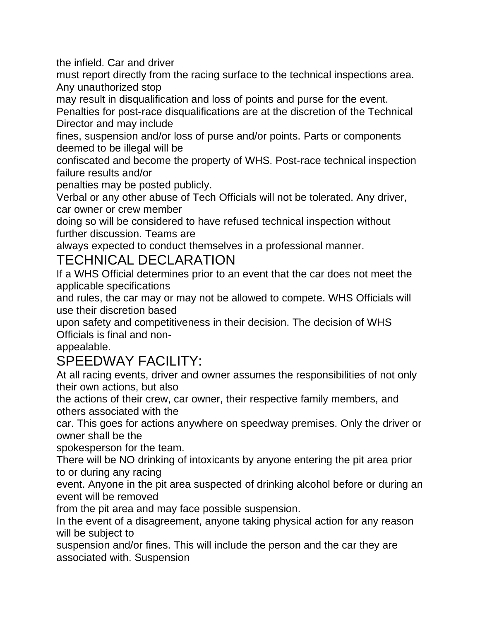the infield. Car and driver

must report directly from the racing surface to the technical inspections area. Any unauthorized stop

may result in disqualification and loss of points and purse for the event.

Penalties for post‐race disqualifications are at the discretion of the Technical Director and may include

fines, suspension and/or loss of purse and/or points. Parts or components deemed to be illegal will be

confiscated and become the property of WHS. Post‐race technical inspection failure results and/or

penalties may be posted publicly.

Verbal or any other abuse of Tech Officials will not be tolerated. Any driver, car owner or crew member

doing so will be considered to have refused technical inspection without further discussion. Teams are

always expected to conduct themselves in a professional manner.

## TECHNICAL DECLARATION

If a WHS Official determines prior to an event that the car does not meet the applicable specifications

and rules, the car may or may not be allowed to compete. WHS Officials will use their discretion based

upon safety and competitiveness in their decision. The decision of WHS Officials is final and non-

appealable.

# SPEEDWAY FACILITY:

At all racing events, driver and owner assumes the responsibilities of not only their own actions, but also

the actions of their crew, car owner, their respective family members, and others associated with the

car. This goes for actions anywhere on speedway premises. Only the driver or owner shall be the

spokesperson for the team.

There will be NO drinking of intoxicants by anyone entering the pit area prior to or during any racing

event. Anyone in the pit area suspected of drinking alcohol before or during an event will be removed

from the pit area and may face possible suspension.

In the event of a disagreement, anyone taking physical action for any reason will be subject to

suspension and/or fines. This will include the person and the car they are associated with. Suspension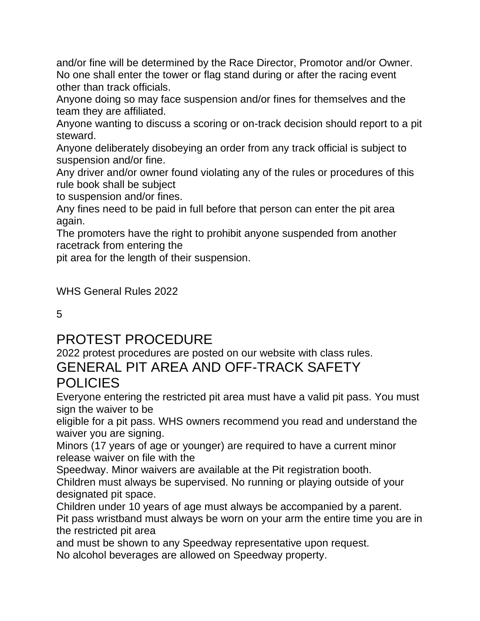and/or fine will be determined by the Race Director, Promotor and/or Owner. No one shall enter the tower or flag stand during or after the racing event other than track officials.

Anyone doing so may face suspension and/or fines for themselves and the team they are affiliated.

Anyone wanting to discuss a scoring or on-track decision should report to a pit steward.

Anyone deliberately disobeying an order from any track official is subject to suspension and/or fine.

Any driver and/or owner found violating any of the rules or procedures of this rule book shall be subject

to suspension and/or fines.

Any fines need to be paid in full before that person can enter the pit area again.

The promoters have the right to prohibit anyone suspended from another racetrack from entering the

pit area for the length of their suspension.

WHS General Rules 2022

5

## PROTEST PROCEDURE

2022 protest procedures are posted on our website with class rules.

#### GENERAL PIT AREA AND OFF-TRACK SAFETY **POLICIES**

Everyone entering the restricted pit area must have a valid pit pass. You must sign the waiver to be

eligible for a pit pass. WHS owners recommend you read and understand the waiver you are signing.

Minors (17 years of age or younger) are required to have a current minor release waiver on file with the

Speedway. Minor waivers are available at the Pit registration booth.

Children must always be supervised. No running or playing outside of your designated pit space.

Children under 10 years of age must always be accompanied by a parent. Pit pass wristband must always be worn on your arm the entire time you are in the restricted pit area

and must be shown to any Speedway representative upon request. No alcohol beverages are allowed on Speedway property.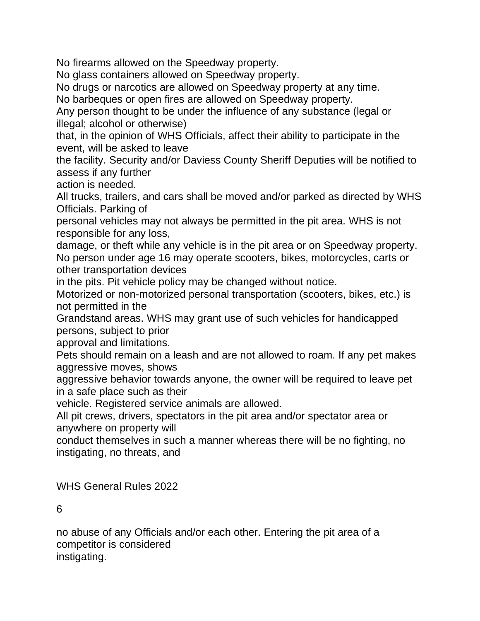No firearms allowed on the Speedway property.

No glass containers allowed on Speedway property.

No drugs or narcotics are allowed on Speedway property at any time.

No barbeques or open fires are allowed on Speedway property.

Any person thought to be under the influence of any substance (legal or illegal; alcohol or otherwise)

that, in the opinion of WHS Officials, affect their ability to participate in the event, will be asked to leave

the facility. Security and/or Daviess County Sheriff Deputies will be notified to assess if any further

action is needed.

All trucks, trailers, and cars shall be moved and/or parked as directed by WHS Officials. Parking of

personal vehicles may not always be permitted in the pit area. WHS is not responsible for any loss,

damage, or theft while any vehicle is in the pit area or on Speedway property. No person under age 16 may operate scooters, bikes, motorcycles, carts or other transportation devices

in the pits. Pit vehicle policy may be changed without notice.

Motorized or non-motorized personal transportation (scooters, bikes, etc.) is not permitted in the

Grandstand areas. WHS may grant use of such vehicles for handicapped persons, subject to prior

approval and limitations.

Pets should remain on a leash and are not allowed to roam. If any pet makes aggressive moves, shows

aggressive behavior towards anyone, the owner will be required to leave pet in a safe place such as their

vehicle. Registered service animals are allowed.

All pit crews, drivers, spectators in the pit area and/or spectator area or anywhere on property will

conduct themselves in such a manner whereas there will be no fighting, no instigating, no threats, and

WHS General Rules 2022

6

no abuse of any Officials and/or each other. Entering the pit area of a competitor is considered instigating.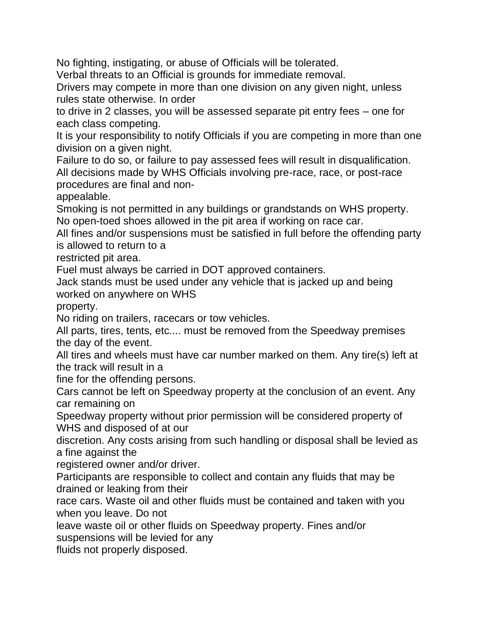No fighting, instigating, or abuse of Officials will be tolerated.

Verbal threats to an Official is grounds for immediate removal.

Drivers may compete in more than one division on any given night, unless rules state otherwise. In order

to drive in 2 classes, you will be assessed separate pit entry fees – one for each class competing.

It is your responsibility to notify Officials if you are competing in more than one division on a given night.

Failure to do so, or failure to pay assessed fees will result in disqualification. All decisions made by WHS Officials involving pre-race, race, or post-race procedures are final and non-

appealable.

Smoking is not permitted in any buildings or grandstands on WHS property. No open-toed shoes allowed in the pit area if working on race car.

All fines and/or suspensions must be satisfied in full before the offending party is allowed to return to a

restricted pit area.

Fuel must always be carried in DOT approved containers.

Jack stands must be used under any vehicle that is jacked up and being worked on anywhere on WHS

property.

No riding on trailers, racecars or tow vehicles.

All parts, tires, tents, etc.... must be removed from the Speedway premises the day of the event.

All tires and wheels must have car number marked on them. Any tire(s) left at the track will result in a

fine for the offending persons.

Cars cannot be left on Speedway property at the conclusion of an event. Any car remaining on

Speedway property without prior permission will be considered property of WHS and disposed of at our

discretion. Any costs arising from such handling or disposal shall be levied as a fine against the

registered owner and/or driver.

Participants are responsible to collect and contain any fluids that may be drained or leaking from their

race cars. Waste oil and other fluids must be contained and taken with you when you leave. Do not

leave waste oil or other fluids on Speedway property. Fines and/or suspensions will be levied for any

fluids not properly disposed.